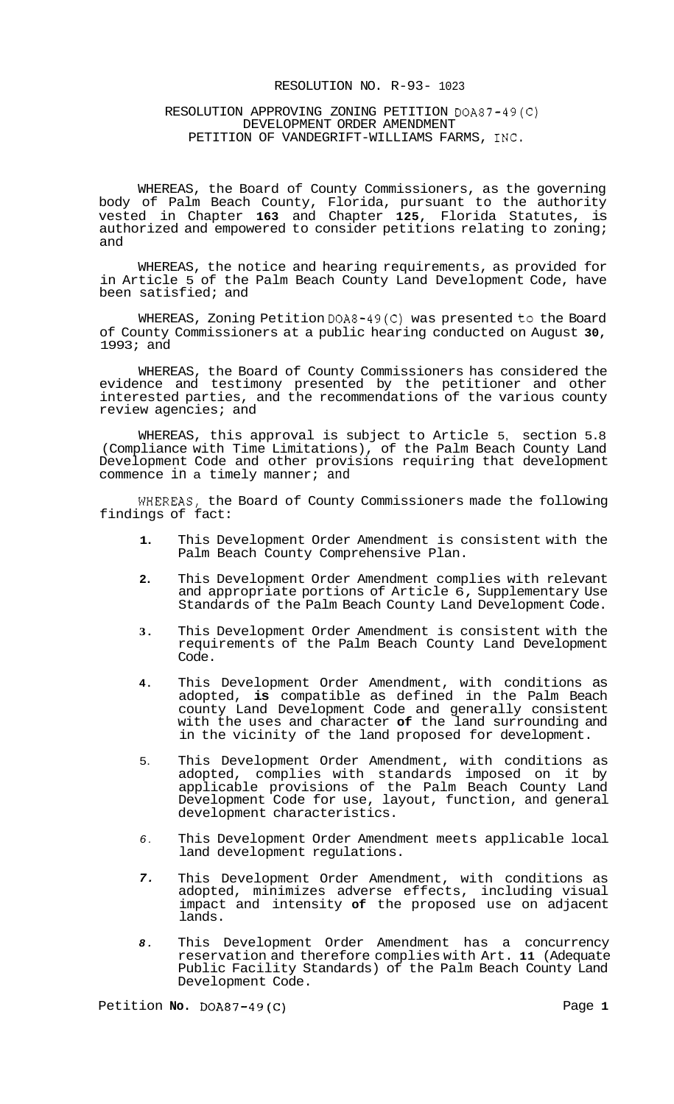## RESOLUTION NO. R-93- 1023

# RESOLUTION APPROVING ZONING PETITION DOA87-49(C) DEVELOPMENT ORDER AMENDMENT PETITION OF VANDEGRIFT-WILLIAMS FARMS, INC.

WHEREAS, the Board of County Commissioners, as the governing body of Palm Beach County, Florida, pursuant to the authority vested in Chapter **163** and Chapter **125,** Florida Statutes, is authorized and empowered to consider petitions relating to zoning; and

WHEREAS, the notice and hearing requirements, as provided for in Article 5 of the Palm Beach County Land Development Code, have been satisfied; and

WHEREAS, Zoning Petition DOA8-49(C) was presented to the Board of County Commissioners at a public hearing conducted on August **30,**  1993; and

WHEREAS, the Board of County Commissioners has considered the evidence and testimony presented by the petitioner and other interested parties, and the recommendations of the various county review agencies; and

WHEREAS, this approval is subject to Article 5, section 5.8 (Compliance with Time Limitations), of the Palm Beach County Land Development Code and other provisions requiring that development commence in a timely manner; and

**WHEREAS,** the Board of County Commissioners made the following findings of fact:

- **1.**  This Development Order Amendment is consistent with the Palm Beach County Comprehensive Plan.
- **2.**  This Development Order Amendment complies with relevant and appropriate portions of Article 6, Supplementary Use Standards of the Palm Beach County Land Development Code.
- **3.**  This Development Order Amendment is consistent with the requirements of the Palm Beach County Land Development Code.
- **4.**  This Development Order Amendment, with conditions as adopted, **is** compatible as defined in the Palm Beach county Land Development Code and generally consistent with the uses and character **of** the land surrounding and in the vicinity of the land proposed for development.
- 5. This Development Order Amendment, with conditions as adopted, complies with standards imposed on it by applicable provisions of the Palm Beach County Land Development Code for use, layout, function, and general development characteristics.
- *6.*  This Development Order Amendment meets applicable local land development regulations.
- *7.*  This Development Order Amendment, with conditions as adopted, minimizes adverse effects, including visual impact and intensity **of** the proposed use on adjacent lands.
- *8.*  This Development Order Amendment has a concurrency reservation and therefore complies with Art. **11** (Adequate Public Facility Standards) of the Palm Beach County Land Development Code.

Petition **No.** DOA87-49(C) Page 1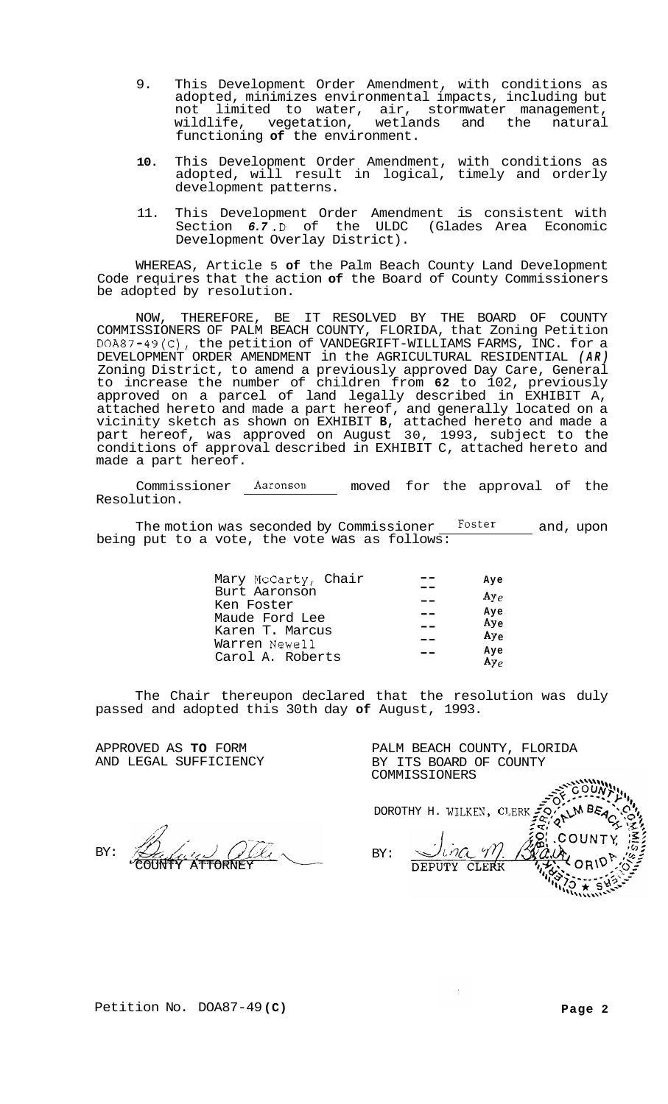- 9. This Development Order Amendment, with conditions as adopted, minimizes environmental impacts, including but limited to water, air, stormwater management,<br>ife, vegetation, wetlands and the natural wildlife, vegetation, functioning **of** the environment.
- **10.** This Development Order Amendment, with conditions as adopted, will result in logical, timely and orderly development patterns.
- 11. This Development Order Amendment is consistent with Section *6.7* .D of the ULDC (Glades Area Economic Development Overlay District).

WHEREAS, Article 5 **of** the Palm Beach County Land Development Code requires that the action **of** the Board of County Commissioners be adopted by resolution.

NOW, THEREFORE, BE IT RESOLVED BY THE BOARD OF COUNTY COMMISSIONERS OF PALM BEACH COUNTY, FLORIDA, that Zoning Petition DOA87-49(C), the petition of VANDEGRIFT-WILLIAMS FARMS, INC. for a DEVELOPMENT ORDER AMENDMENT in the AGRICULTURAL RESIDENTIAL *(AR)*  Zoning District, to amend a previously approved Day Care, General to increase the number of children from **62** to 102, previously approved on a parcel of land legally described in EXHIBIT A, attached hereto and made a part hereof, and generally located on a vicinity sketch as shown on EXHIBIT **B,** attached hereto and made a part hereof, was approved on August 30, 1993, subject to the conditions of approval described in EXHIBIT C, attached hereto and made a part hereof.

Commissioner **Aaronson** moved for the approval of the Resolution.

The motion was seconded by Commissioner **Foster** and, upon being put to a vote, the vote was as follows:

| Mary McCarty, Chair | Aye             |
|---------------------|-----------------|
| Burt Aaronson       | $A\nu\rho$      |
| Ken Foster          |                 |
| Maude Ford Lee      | Aye             |
|                     | Ay <sub>e</sub> |
| Karen T. Marcus     | $Ay_e$          |
| Warren Newell       |                 |
|                     | Aye             |
| Carol A. Roberts    | Ay <sub>e</sub> |
|                     |                 |

The Chair thereupon declared that the resolution was duly passed and adopted this 30th day **of** August, 1993.

APPROVED AS **TO** FORM AND LEGAL SUFFICIENCY

Hili BY: **ATTORNEY** 

PALM BEACH COUNTY, FLORIDA BY ITS BOARD OF COUNTY COMMISSIONERS OUN M BEA DOROTHY H. WILKEN, CLERK,

 $4/\gamma$ 'ina BY: DEPUTY CLERK

 $COMM$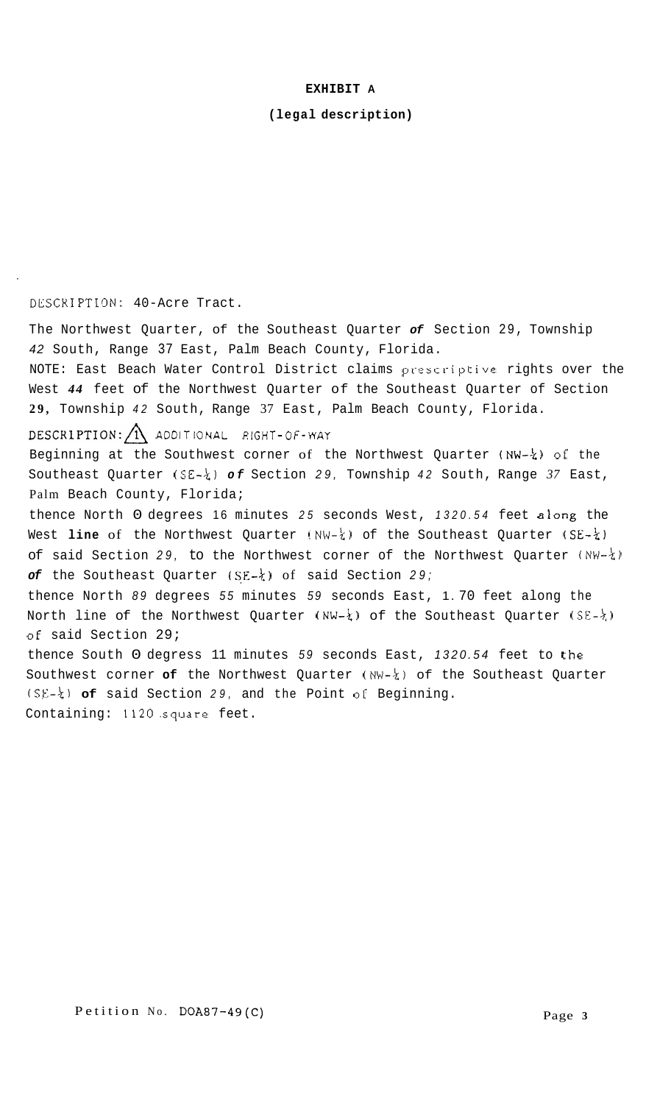# **EXHIBIT A**

# **(legal description)**

# **DLSCKIPTION:** 40-Acre Tract.

The Northwest Quarter, of the Southeast Quarter *of* Section 29, Township *42* South, Range 37 East, Palm Beach County, Florida. NOTE: East Beach Water Control District claims prescriptive rights over the West *44* feet of the Northwest Quarter of the Southeast Quarter of Section **29,** Township *42* South, Range 37 East, Palm Beach County, Florida. DESCR~PTION:A **ADDITIONAL RIGHT-OF-WAY**  Beginning at the Southwest corner of the Northwest Quarter **(NW-4)** of: the Southeast Quarter (SE-k) *of* Section *29,* Township *42* South, Range *37* East, Palm Beach County, Florida; thence North 0 degrees 16 minutes *25* seconds West, *1320.54* feet along the West **line** of the Northwest Quarter **(NW-k)** of the Southeast Quarter (SE-2) of said Section *29,* to the Northwest corner of the Northwest Quarter *(NW-k) of* the Southeast Quarter **(SE-t)** of said Section *29;*  thence North *89* degrees *55* minutes *59* seconds East, 1. 70 feet along the North line of the Northwest Quarter (NW- $\frac{1}{4}$ ) of the Southeast Quarter (SE- $\frac{1}{4}$ ) **of** said Section 29; thence South 0 degress 11 minutes 59 seconds East, 1320.54 feet to the Southwest corner **of** the Northwest Quarter **(NW-k)** of the Southeast Quarter **(SE-kl of** said Section *29,* and the Point of Beginning. Containing: 1120.square feet.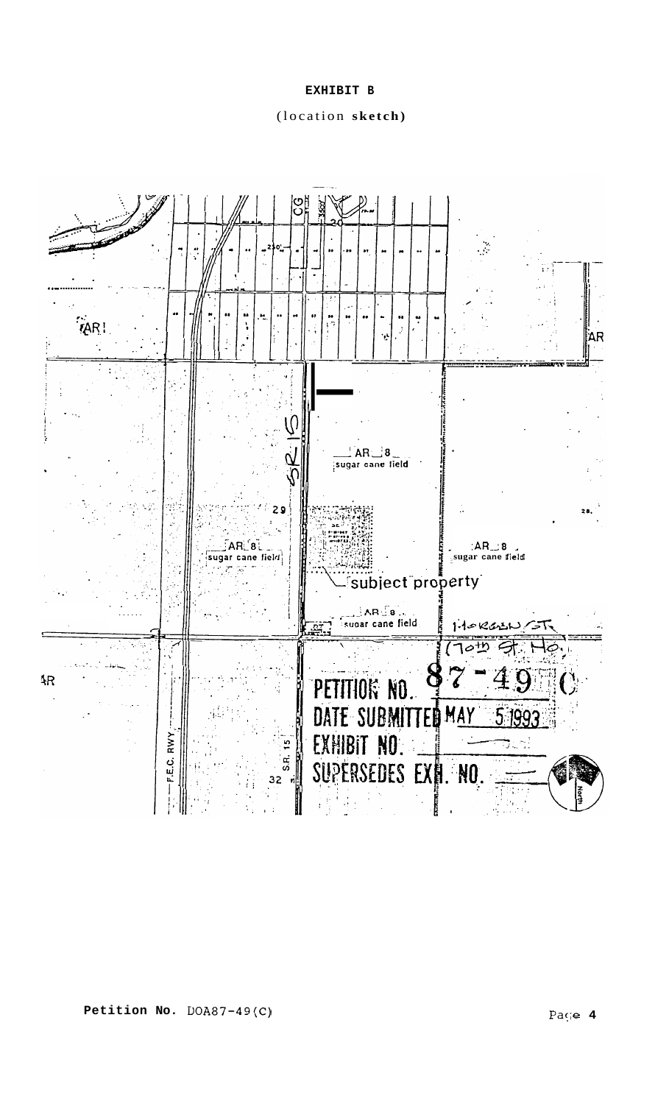**EXHIBIT B** 

(location **sketch)** 

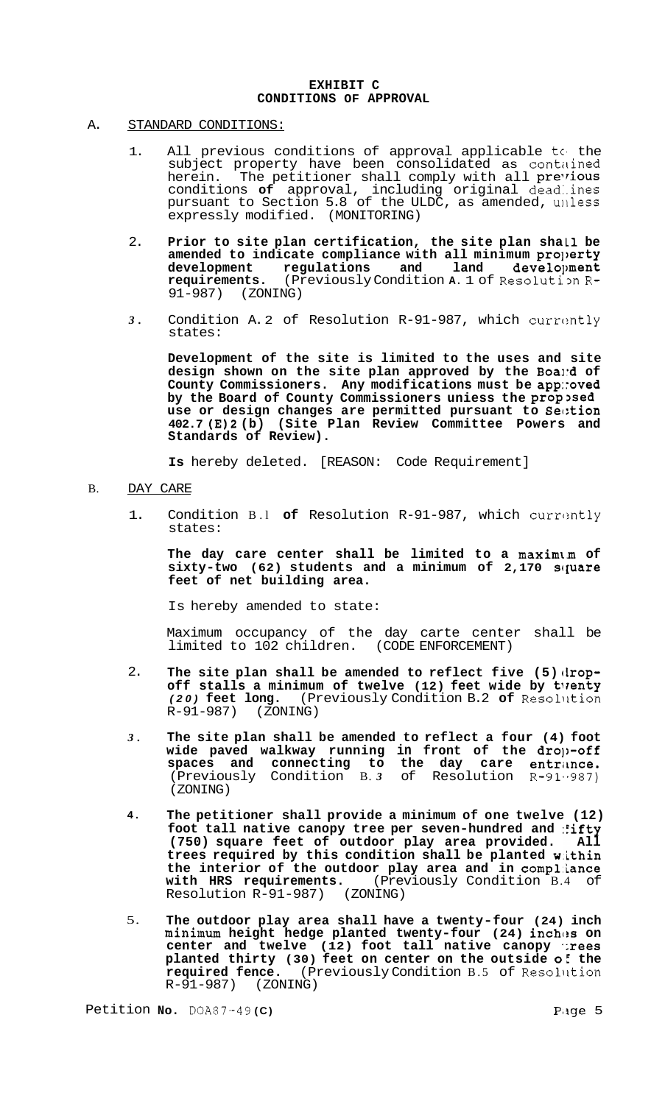## **EXHIBIT C CONDITIONS OF APPROVAL**

### A. STANDARD CONDITIONS:

- 1. All previous conditions of approval applicable to the subject property have been consolidated as contained<br>herein. The petitioner shall comply with all previous The petitioner shall comply with all previous conditions **of** approval, including original dead:.ines pursuant to Section 5.8 of the ULDC, as amended, uilless expressly modified. (MONITORING)
- 2. **Prior to site plan certification, the site plan shall be amended to indicate compliance with all minimum pro])erty**  development regulations and land development<br>requirements. (Previously Condition A. 1 of Resolution R**requirements.** (Previously Condition **A**. 1 of Resolution R-<br>91-987) (ZONING) 91-987) (ZONING)
- *3.* Condition A. 2 of Resolution R-91-987, which currcmtly states:

**Development of the site is limited to the uses and site design shown on the site plan approved by the Boai:d of County Commissioners. Any modifications must be app::oved by the Board of County Commissioners uniess the prop3sed use or design changes are permitted pursuant to Sec:tion 402.7 (E)2 (b) (Site Plan Review Committee Powers and Standards of Review).** 

**Is** hereby deleted. [REASON: Code Requirement]

### B. DAY CARE

1. Condition B.l **of** Resolution R-91-987, which currcmtly states:

**The day care center shall be limited to a maximlm of**  sixty-two (62) students and a minimum of 2,170 square **feet of net building area.** 

Is hereby amended to state:

Maximum occupancy of the day carte center shall be limited to 102 children. (CODE ENFORCEMENT)

- 2. The site plan shall be amended to reflect five (5) drop**off stalls a minimum of twelve (12) feet wide by tlrenty**  *(20)* **feet long.** (Previously Condition B.2 **of** Resollition  $R-91-987$ )
- *3.*  **The site plan shall be amended to reflect a four (4) foot wide paved walkway running in front of the dro]>-off**  spaces and connecting to the day care entrance. (Previously Condition B. *3* of Resolution R-91,-987) (ZONING)
- **4. The petitioner shall provide a minimum of one twelve (12) foot tall native canopy tree per seven-hundred and :fifty (750) square feet of outdoor play area provided. All trees required by this condition shall be planted w.ithin the interior of the outdoor play area and in comp1,iance with HRS requirements.** (Previously Condition B.4 of with HRS requirements. (Prev<br>Resolution R-91-987) (ZONING)
- 5. **The outdoor play area shall have a twenty-four (24) inch minimum height hedge planted twenty-four (24) inches on center and twelve (12) foot tall native canopy .;rees planted thirty (30) feet on center on the outside of the required fence.** (Previously Condition B.5 of Resolution R-91-987) (ZONING)  $R-91-987$ )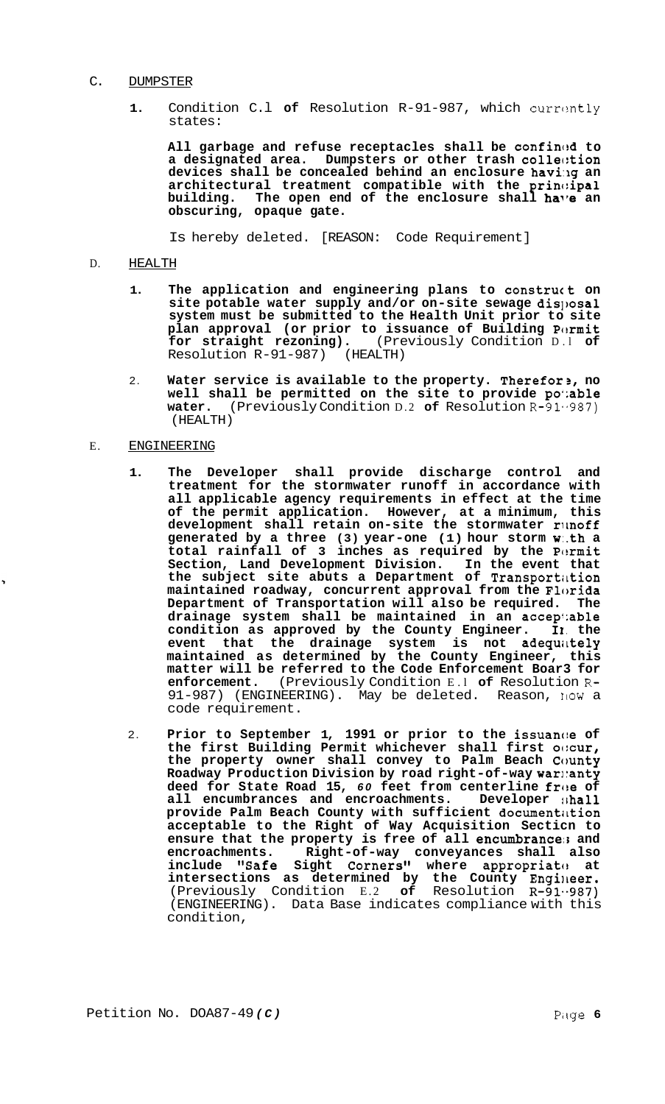#### C. DUMPSTER

**1.** Condition C.l **of** Resolution R-91-987, which currcmtly states:

**All garbage and refuse receptacles shall be confinc!d to a designated area. Dumpsters or other trash col1ec:tion devices shall be concealed behind an enclosure havi:Ig an architectural treatment compatible with the princ:ipal**  building. The open end of the enclosure shall **ha'e** an **obscuring, opaque gate.** 

Is hereby deleted. [REASON: Code Requirement]

### D. HEALTH

- 1. The application and engineering plans to construct on site potable water supply and/or on-site sewage disposal **system must be submitted to the Health Unit prior to site plan approval (or prior to issuance of Building Pc!rmit for straight rezoning).** (Previously Condition D.l **of**  Resolution R-91-987) (HEALTH)
- 2. **Water service is available to the property. Therefor3, no well shall be permitted on the site to provide po';able water.** (Previously Condition D.2 **of** Resolution R-91.-987) (HEALTH)

# E. ENGINEERING

- **1. The Developer shall provide discharge control and treatment for the stormwater runoff in accordance with all applicable agency requirements in effect at the time of the permit application. However, at a minimum, this development shall retain on-site the stormwater rimoff generated by a three (3) year-one (1) hour storm w:.th a**  total rainfall of 3 inches as required by the Permit **Section, Land Development Division. In the event that the subject site abuts a Department of Transportittion maintained roadway, concurrent approval from the Florida Department of Transportation will also be required. The drainage system shall be maintained in an accepi:able condition as approved by the County Engineer. 11. the event that the drainage system is not adequittely maintained as determined by the County Engineer, this matter will be referred to the Code Enforcement Boar3 for enforcement.** (Previously Condition E.l **of** Resolution R-91-987) (ENGINEERING). May be deleted. Reason, NOW a code requirement.
- 2. **Prior to September 1, 1991 or prior to the issuanc:e of the first Building Permit whichever shall first o(:cur, the property owner shall convey to Palm Beach County Roadway Production Division by road right-of-way wari:anty deed for State Road 15, 60 feet from centerline free of all encumbrances and encroachments.** Developer shall all encumbrances and encroachments. **provide Palm Beach County with sufficient documentiltion acceptable to the Right of Way Acquisition Secticn to ensure that the property is free of all encumbrance:3 and encroachments. Right-of-way conveyances shall also**  include "Safe Sight Corners" where appropriate at intersections as determined by the County Engineer. (Previously Condition E.2 **of** Resolution R-91..987) (ENGINEERING). Data Base indicates compliance with this condition,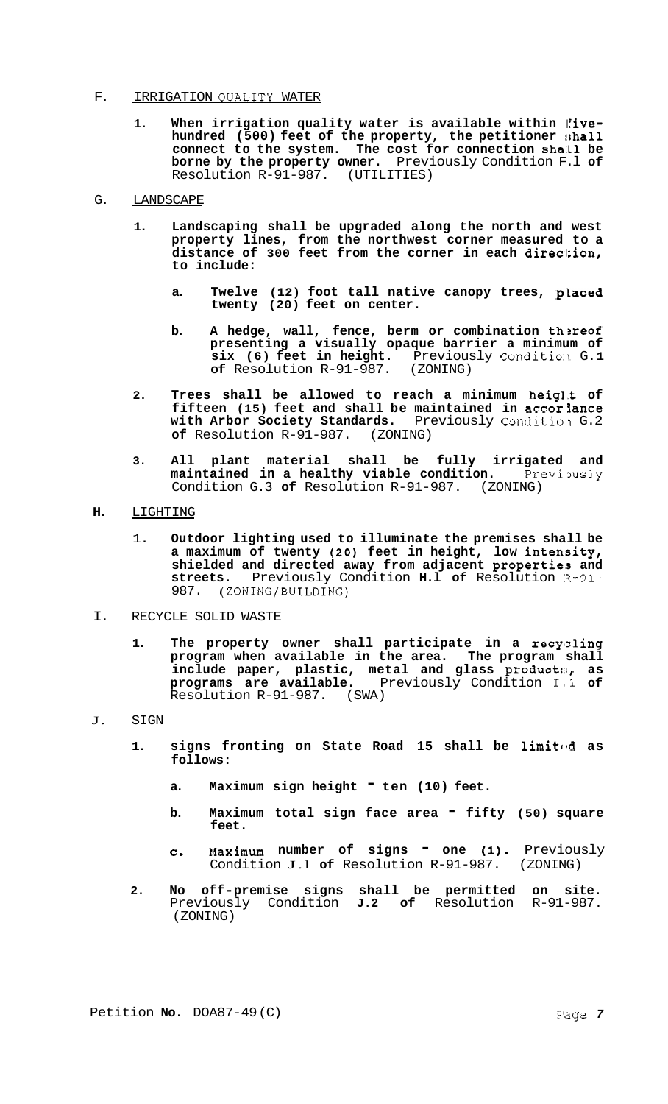### F. IRRIGATION QUALITY WATER

- 1. When irrigation quality water is available within *five*hundred (500) feet of the property, the petitioner **shall** connect to the system. The cost for connection shall be **borne by the property owner.** Previously Condition F.l **of**  Resolution R-91-987.
- G. LANDSCAPE
	- **1. Landscaping shall be upgraded along the north and west property lines, from the northwest corner measured to a distance of 300 feet from the corner in each direcl:ion, to include:** 
		- a. Twelve (12) foot tall native canopy trees, placed **twenty (20) feet on center.**
		- **b.** A hedge, wall, fence, berm or combination thereof **presenting a visually opaque barrier a minimum of six (6) feet in height.** Previously Condition G.1 of Resolution R-91-987. (ZONING) of Resolution R-91-987.
	- **2. Trees shall be allowed to reach a minimum height of fifteen (15) feet and shall be maintained in accorlfance**  with Arbor Society Standards. Previously Condition G.2 **of** Resolution R-91-987. (ZONING)
	- **3. All plant material shall be fully irrigated and maintained in a healthy viable condition.** Previously Condition G.3 **of** Resolution R-91-987. (ZONING)
- **H.** LIGHTING
	- 1. **Outdoor lighting used to illuminate the premises shall be a maximum of twenty (20) feet in height, low intenisity,**  shielded and directed away from adjacent properties and **streets.** Previously Condition **H.l of** Resolution ~3-91- 987. (ZONING/BUILDING)
- I. RECYCLE SOLID WASTE
	- **1. The property owner shall participate in a recy'zling program when available in the area. The program shall**  include paper, plastic, metal and glass product**:**, as **programs are available.** Previously Condition I,l **of**  Resolution R-91-987. (SWA)
- J. SIGN
	- **1. signs fronting on State Road 15 shall be limitcd as follows:** 
		- a. Maximum sign height <sup>-</sup> ten (10) feet.
		- **b.** Maximum total sign face area  $-$  fifty (50) square **feet.**
		- **c, Maximum number of signs one (I).** Previously Condition J.l **of** Resolution R-91-987. (ZONING)
	- **2. No off-premise signs shall be permitted on site.**  Previously Condition **J.2 of** Resolution R-91-987. (ZONING)